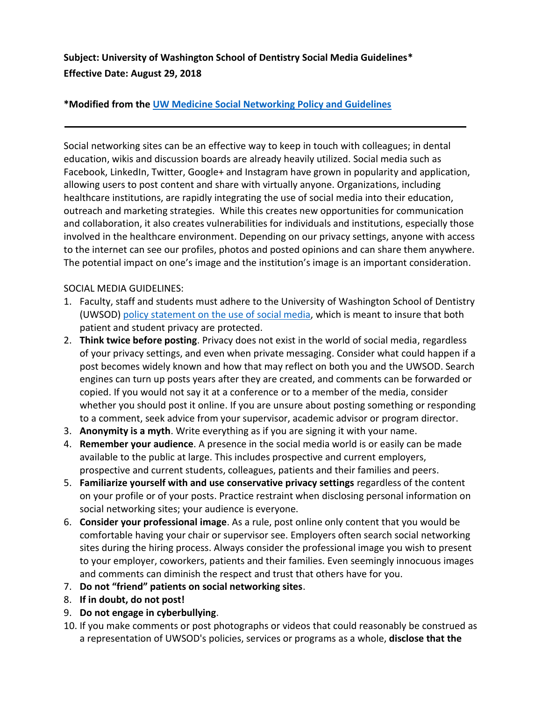**Subject: University of Washington School of Dentistry Social Media Guidelines\* Effective Date: August 29, 2018**

## **\*Modified from the [UW Medicine Social Networking Policy and Guidelines](http://depts.washington.edu/comply/docs/comp_303.pdf)**

Social networking sites can be an effective way to keep in touch with colleagues; in dental education, wikis and discussion boards are already heavily utilized. Social media such as Facebook, LinkedIn, Twitter, Google+ and Instagram have grown in popularity and application, allowing users to post content and share with virtually anyone. Organizations, including healthcare institutions, are rapidly integrating the use of social media into their education, outreach and marketing strategies. While this creates new opportunities for communication and collaboration, it also creates vulnerabilities for individuals and institutions, especially those involved in the healthcare environment. Depending on our privacy settings, anyone with access to the internet can see our profiles, photos and posted opinions and can share them anywhere. The potential impact on one's image and the institution's image is an important consideration.

## SOCIAL MEDIA GUIDELINES:

- 1. Faculty, staff and students must adhere to the University of Washington School of Dentistry (UWSOD) [policy statement on the use of social media,](https://uwnetid.sharepoint.com/sites/sod/policy/SitePages/SP-05%20SOD%20Use%20of%20Social%20Media.aspx) which is meant to insure that both patient and student privacy are protected.
- 2. **Think twice before posting**. Privacy does not exist in the world of social media, regardless of your privacy settings, and even when private messaging. Consider what could happen if a post becomes widely known and how that may reflect on both you and the UWSOD. Search engines can turn up posts years after they are created, and comments can be forwarded or copied. If you would not say it at a conference or to a member of the media, consider whether you should post it online. If you are unsure about posting something or responding to a comment, seek advice from your supervisor, academic advisor or program director.
- 3. **Anonymity is a myth**. Write everything as if you are signing it with your name.
- 4. **Remember your audience**. A presence in the social media world is or easily can be made available to the public at large. This includes prospective and current employers, prospective and current students, colleagues, patients and their families and peers.
- 5. **Familiarize yourself with and use conservative privacy settings** regardless of the content on your profile or of your posts. Practice restraint when disclosing personal information on social networking sites; your audience is everyone.
- 6. **Consider your professional image**. As a rule, post online only content that you would be comfortable having your chair or supervisor see. Employers often search social networking sites during the hiring process. Always consider the professional image you wish to present to your employer, coworkers, patients and their families. Even seemingly innocuous images and comments can diminish the respect and trust that others have for you.
- 7. **Do not "friend" patients on social networking sites**.
- 8. **If in doubt, do not post!**
- 9. **Do not engage in cyberbullying**.
- 10. If you make comments or post photographs or videos that could reasonably be construed as a representation of UWSOD's policies, services or programs as a whole, **disclose that the**